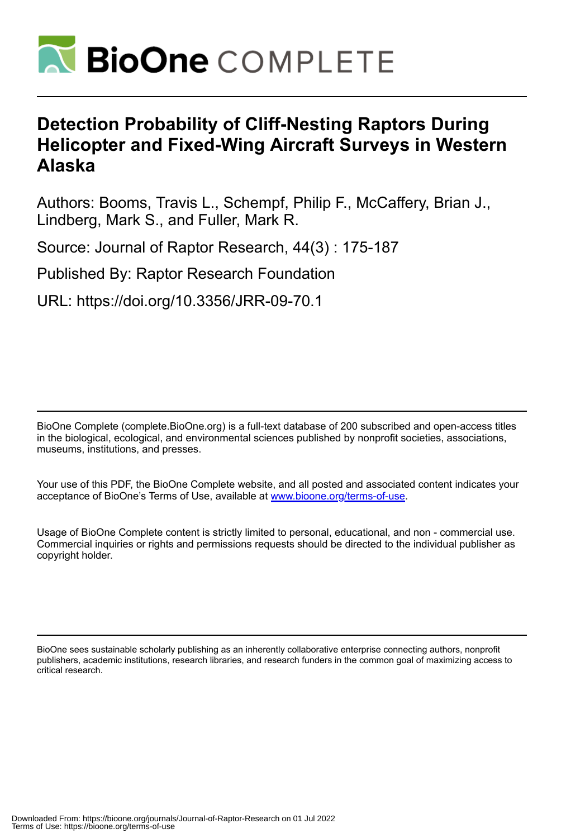

# **Detection Probability of Cliff-Nesting Raptors During Helicopter and Fixed-Wing Aircraft Surveys in Western Alaska**

Authors: Booms, Travis L., Schempf, Philip F., McCaffery, Brian J., Lindberg, Mark S., and Fuller, Mark R.

Source: Journal of Raptor Research, 44(3) : 175-187

Published By: Raptor Research Foundation

URL: https://doi.org/10.3356/JRR-09-70.1

BioOne Complete (complete.BioOne.org) is a full-text database of 200 subscribed and open-access titles in the biological, ecological, and environmental sciences published by nonprofit societies, associations, museums, institutions, and presses.

Your use of this PDF, the BioOne Complete website, and all posted and associated content indicates your acceptance of BioOne's Terms of Use, available at www.bioone.org/terms-of-use.

Usage of BioOne Complete content is strictly limited to personal, educational, and non - commercial use. Commercial inquiries or rights and permissions requests should be directed to the individual publisher as copyright holder.

BioOne sees sustainable scholarly publishing as an inherently collaborative enterprise connecting authors, nonprofit publishers, academic institutions, research libraries, and research funders in the common goal of maximizing access to critical research.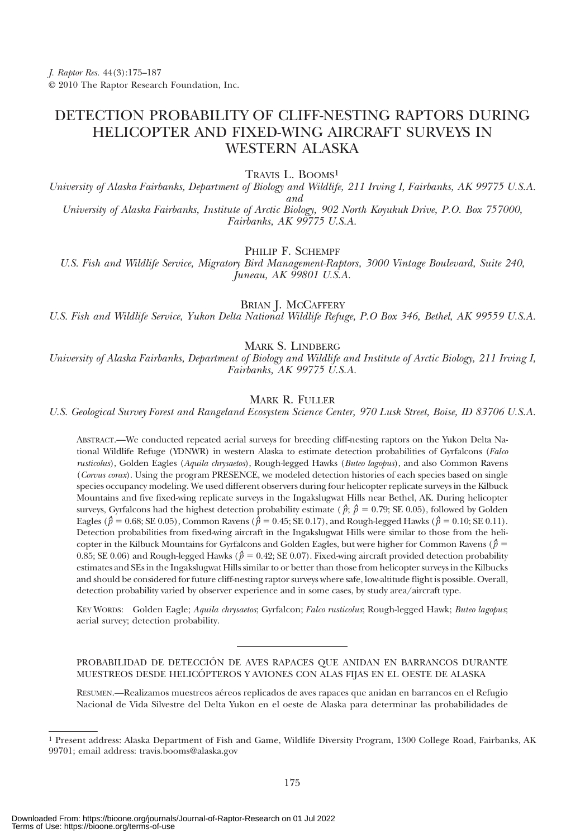## DETECTION PROBABILITY OF CLIFF-NESTING RAPTORS DURING HELICOPTER AND FIXED-WING AIRCRAFT SURVEYS IN WESTERN ALASKA

TRAVIS L. BOOMS1

University of Alaska Fairbanks, Department of Biology and Wildlife, 211 Irving I, Fairbanks, AK 99775 U.S.A. and University of Alaska Fairbanks, Institute of Arctic Biology, 902 North Koyukuk Drive, P.O. Box 757000, Fairbanks, AK 99775 U.S.A.

PHILIP F. SCHEMPF

U.S. Fish and Wildlife Service, Migratory Bird Management-Raptors, 3000 Vintage Boulevard, Suite 240, Juneau, AK 99801 U.S.A.

BRIAN J. MCCAFFERY

U.S. Fish and Wildlife Service, Yukon Delta National Wildlife Refuge, P.O Box 346, Bethel, AK 99559 U.S.A.

MARK S. LINDBERG

University of Alaska Fairbanks, Department of Biology and Wildlife and Institute of Arctic Biology, 211 Irving I, Fairbanks, AK 99775 U.S.A.

MARK R. FULLER

U.S. Geological Survey Forest and Rangeland Ecosystem Science Center, 970 Lusk Street, Boise, ID 83706 U.S.A.

ABSTRACT.—We conducted repeated aerial surveys for breeding cliff-nesting raptors on the Yukon Delta National Wildlife Refuge (YDNWR) in western Alaska to estimate detection probabilities of Gyrfalcons (Falco rusticolus), Golden Eagles (Aquila chrysaetos), Rough-legged Hawks (Buteo lagopus), and also Common Ravens (Corvus corax). Using the program PRESENCE, we modeled detection histories of each species based on single species occupancy modeling. We used different observers during four helicopter replicate surveys in the Kilbuck Mountains and five fixed-wing replicate surveys in the Ingakslugwat Hills near Bethel, AK. During helicopter surveys, Gyrfalcons had the highest detection probability estimate ( $\hat{p}$ ;  $\hat{p}$  = 0.79; SE 0.05), followed by Golden Eagles ( $\hat{p} = 0.68$ ; SE 0.05), Common Ravens ( $\hat{p} = 0.45$ ; SE 0.17), and Rough-legged Hawks ( $\hat{p} = 0.10$ ; SE 0.11). Detection probabilities from fixed-wing aircraft in the Ingakslugwat Hills were similar to those from the helicopter in the Kilbuck Mountains for Gyrfalcons and Golden Eagles, but were higher for Common Ravens ( $\hat{p}$  = 0.85; SE 0.06) and Rough-legged Hawks ( $\hat{p} = 0.42$ ; SE 0.07). Fixed-wing aircraft provided detection probability estimates and SEs in the Ingakslugwat Hills similar to or better than those from helicopter surveys in the Kilbucks and should be considered for future cliff-nesting raptor surveys where safe, low-altitude flight is possible. Overall, detection probability varied by observer experience and in some cases, by study area/aircraft type.

KEY WORDS: Golden Eagle; Aquila chrysaetos; Gyrfalcon; Falco rusticolus; Rough-legged Hawk; Buteo lagopus; aerial survey; detection probability.

PROBABILIDAD DE DETECCIÓN DE AVES RAPACES QUE ANIDAN EN BARRANCOS DURANTE MUESTREOS DESDE HELICÓPTEROS Y AVIONES CON ALAS FIJAS EN EL OESTE DE ALASKA

RESUMEN.—Realizamos muestreos aéreos replicados de aves rapaces que anidan en barrancos en el Refugio Nacional de Vida Silvestre del Delta Yukon en el oeste de Alaska para determinar las probabilidades de

<sup>1</sup> Present address: Alaska Department of Fish and Game, Wildlife Diversity Program, 1300 College Road, Fairbanks, AK 99701; email address: travis.booms@alaska.gov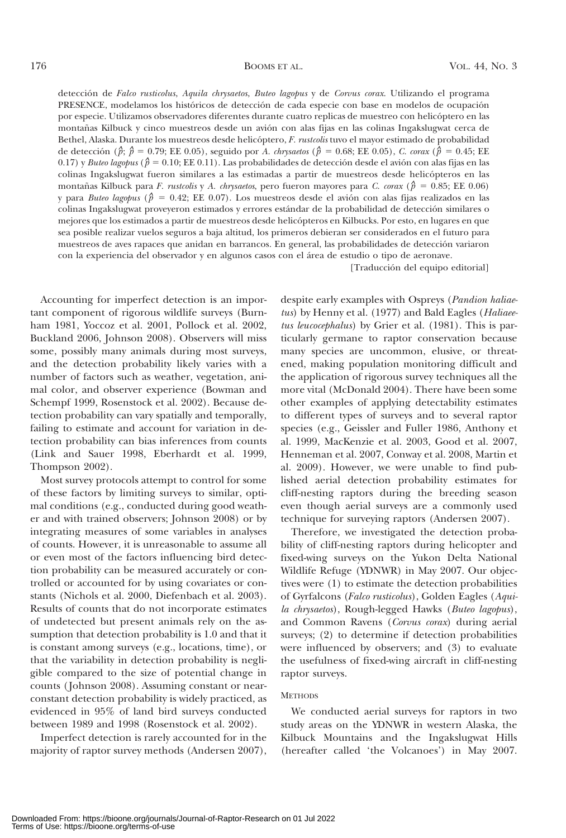detección de Falco rusticolus, Aquila chrysaetos, Buteo lagopus y de Corvus corax. Utilizando el programa PRESENCE, modelamos los históricos de detección de cada especie con base en modelos de ocupación por especie. Utilizamos observadores diferentes durante cuatro replicas de muestreo con helicóptero en las montañas Kilbuck y cinco muestreos desde un avión con alas fijas en las colinas Ingakslugwat cerca de Bethel, Alaska. Durante los muestreos desde helicóptero, F. rustcolis tuvo el mayor estimado de probabilidad de detección ( $\hat{p}$ ;  $\hat{p} = 0.79$ ; EE 0.05), seguido por A. *chrysaetos* ( $\hat{p} = 0.68$ ; EE 0.05), C. corax ( $\hat{p} = 0.45$ ; EE 0.17) y Buteo lagopus ( $\hat{p} = 0.10$ ; EE 0.11). Las probabilidades de detección desde el avión con alas fijas en las colinas Ingakslugwat fueron similares a las estimadas a partir de muestreos desde helicópteros en las montañas Kilbuck para F. rustcolis y A. chrysaetos, pero fueron mayores para C. corax ( $\hat{p} = 0.85$ ; EE 0.06) y para Buteo lagopus ( $\hat{p} = 0.42$ ; EE 0.07). Los muestreos desde el avión con alas fijas realizados en las colinas Ingakslugwat proveyeron estimados y errores estándar de la probabilidad de detección similares o mejores que los estimados a partir de muestreos desde helicópteros en Kilbucks. Por esto, en lugares en que sea posible realizar vuelos seguros a baja altitud, los primeros debieran ser considerados en el futuro para muestreos de aves rapaces que anidan en barrancos. En general, las probabilidades de detección variaron con la experiencia del observador y en algunos casos con el a´rea de estudio o tipo de aeronave.

[Traducción del equipo editorial]

Accounting for imperfect detection is an important component of rigorous wildlife surveys (Burnham 1981, Yoccoz et al. 2001, Pollock et al. 2002, Buckland 2006, Johnson 2008). Observers will miss some, possibly many animals during most surveys, and the detection probability likely varies with a number of factors such as weather, vegetation, animal color, and observer experience (Bowman and Schempf 1999, Rosenstock et al. 2002). Because detection probability can vary spatially and temporally, failing to estimate and account for variation in detection probability can bias inferences from counts (Link and Sauer 1998, Eberhardt et al. 1999, Thompson 2002).

Most survey protocols attempt to control for some of these factors by limiting surveys to similar, optimal conditions (e.g., conducted during good weather and with trained observers; Johnson 2008) or by integrating measures of some variables in analyses of counts. However, it is unreasonable to assume all or even most of the factors influencing bird detection probability can be measured accurately or controlled or accounted for by using covariates or constants (Nichols et al. 2000, Diefenbach et al. 2003). Results of counts that do not incorporate estimates of undetected but present animals rely on the assumption that detection probability is 1.0 and that it is constant among surveys (e.g., locations, time), or that the variability in detection probability is negligible compared to the size of potential change in counts (Johnson 2008). Assuming constant or nearconstant detection probability is widely practiced, as evidenced in 95% of land bird surveys conducted between 1989 and 1998 (Rosenstock et al. 2002).

Imperfect detection is rarely accounted for in the majority of raptor survey methods (Andersen 2007), despite early examples with Ospreys (Pandion haliaetus) by Henny et al. (1977) and Bald Eagles (Haliaeetus leucocephalus) by Grier et al. (1981). This is particularly germane to raptor conservation because many species are uncommon, elusive, or threatened, making population monitoring difficult and the application of rigorous survey techniques all the more vital (McDonald 2004). There have been some other examples of applying detectability estimates to different types of surveys and to several raptor species (e.g., Geissler and Fuller 1986, Anthony et al. 1999, MacKenzie et al. 2003, Good et al. 2007, Henneman et al. 2007, Conway et al. 2008, Martin et al. 2009). However, we were unable to find published aerial detection probability estimates for cliff-nesting raptors during the breeding season even though aerial surveys are a commonly used technique for surveying raptors (Andersen 2007).

Therefore, we investigated the detection probability of cliff-nesting raptors during helicopter and fixed-wing surveys on the Yukon Delta National Wildlife Refuge (YDNWR) in May 2007. Our objectives were (1) to estimate the detection probabilities of Gyrfalcons (Falco rusticolus), Golden Eagles (Aquila chrysaetos), Rough-legged Hawks (Buteo lagopus), and Common Ravens (Corvus corax) during aerial surveys; (2) to determine if detection probabilities were influenced by observers; and (3) to evaluate the usefulness of fixed-wing aircraft in cliff-nesting raptor surveys.

#### **METHODS**

We conducted aerial surveys for raptors in two study areas on the YDNWR in western Alaska, the Kilbuck Mountains and the Ingakslugwat Hills (hereafter called 'the Volcanoes') in May 2007.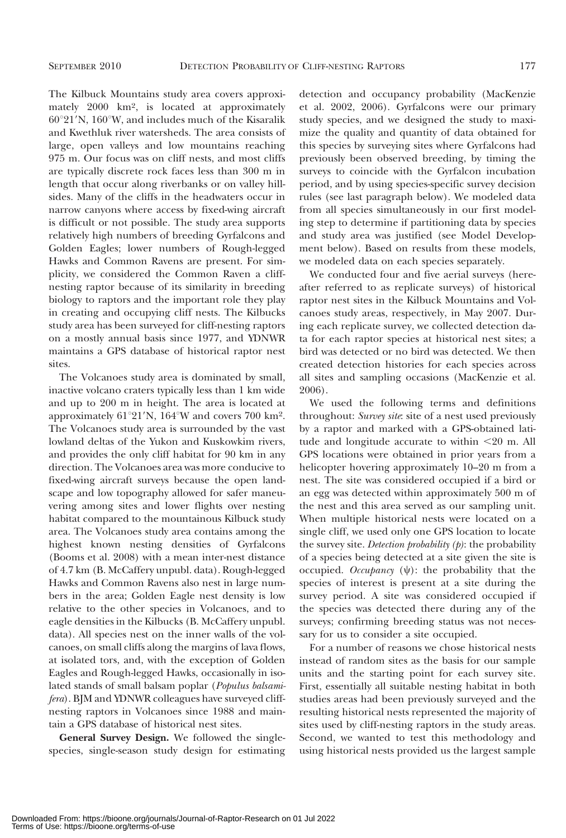The Kilbuck Mountains study area covers approximately 2000 km2, is located at approximately  $60^{\circ}21'$ N,  $160^{\circ}$ W, and includes much of the Kisaralik and Kwethluk river watersheds. The area consists of large, open valleys and low mountains reaching 975 m. Our focus was on cliff nests, and most cliffs are typically discrete rock faces less than 300 m in length that occur along riverbanks or on valley hillsides. Many of the cliffs in the headwaters occur in narrow canyons where access by fixed-wing aircraft is difficult or not possible. The study area supports relatively high numbers of breeding Gyrfalcons and Golden Eagles; lower numbers of Rough-legged Hawks and Common Ravens are present. For simplicity, we considered the Common Raven a cliffnesting raptor because of its similarity in breeding biology to raptors and the important role they play in creating and occupying cliff nests. The Kilbucks study area has been surveyed for cliff-nesting raptors on a mostly annual basis since 1977, and YDNWR maintains a GPS database of historical raptor nest sites.

The Volcanoes study area is dominated by small, inactive volcano craters typically less than 1 km wide and up to 200 m in height. The area is located at approximately  $61^{\circ}21^{\prime}N$ ,  $164^{\circ}W$  and covers 700 km<sup>2</sup>. The Volcanoes study area is surrounded by the vast lowland deltas of the Yukon and Kuskowkim rivers, and provides the only cliff habitat for 90 km in any direction. The Volcanoes area was more conducive to fixed-wing aircraft surveys because the open landscape and low topography allowed for safer maneuvering among sites and lower flights over nesting habitat compared to the mountainous Kilbuck study area. The Volcanoes study area contains among the highest known nesting densities of Gyrfalcons (Booms et al. 2008) with a mean inter-nest distance of 4.7 km (B. McCaffery unpubl. data). Rough-legged Hawks and Common Ravens also nest in large numbers in the area; Golden Eagle nest density is low relative to the other species in Volcanoes, and to eagle densities in the Kilbucks (B. McCaffery unpubl. data). All species nest on the inner walls of the volcanoes, on small cliffs along the margins of lava flows, at isolated tors, and, with the exception of Golden Eagles and Rough-legged Hawks, occasionally in isolated stands of small balsam poplar (Populus balsamifera). BJM and YDNWR colleagues have surveyed cliffnesting raptors in Volcanoes since 1988 and maintain a GPS database of historical nest sites.

General Survey Design. We followed the singlespecies, single-season study design for estimating

detection and occupancy probability (MacKenzie et al. 2002, 2006). Gyrfalcons were our primary study species, and we designed the study to maximize the quality and quantity of data obtained for this species by surveying sites where Gyrfalcons had previously been observed breeding, by timing the surveys to coincide with the Gyrfalcon incubation period, and by using species-specific survey decision rules (see last paragraph below). We modeled data from all species simultaneously in our first modeling step to determine if partitioning data by species and study area was justified (see Model Development below). Based on results from these models, we modeled data on each species separately.

We conducted four and five aerial surveys (hereafter referred to as replicate surveys) of historical raptor nest sites in the Kilbuck Mountains and Volcanoes study areas, respectively, in May 2007. During each replicate survey, we collected detection data for each raptor species at historical nest sites; a bird was detected or no bird was detected. We then created detection histories for each species across all sites and sampling occasions (MacKenzie et al. 2006).

We used the following terms and definitions throughout: Survey site: site of a nest used previously by a raptor and marked with a GPS-obtained latitude and longitude accurate to within  $\leq 20$  m. All GPS locations were obtained in prior years from a helicopter hovering approximately 10–20 m from a nest. The site was considered occupied if a bird or an egg was detected within approximately 500 m of the nest and this area served as our sampling unit. When multiple historical nests were located on a single cliff, we used only one GPS location to locate the survey site. *Detection probability* (p): the probability of a species being detected at a site given the site is occupied. Occupancy  $(\psi)$ : the probability that the species of interest is present at a site during the survey period. A site was considered occupied if the species was detected there during any of the surveys; confirming breeding status was not necessary for us to consider a site occupied.

For a number of reasons we chose historical nests instead of random sites as the basis for our sample units and the starting point for each survey site. First, essentially all suitable nesting habitat in both studies areas had been previously surveyed and the resulting historical nests represented the majority of sites used by cliff-nesting raptors in the study areas. Second, we wanted to test this methodology and using historical nests provided us the largest sample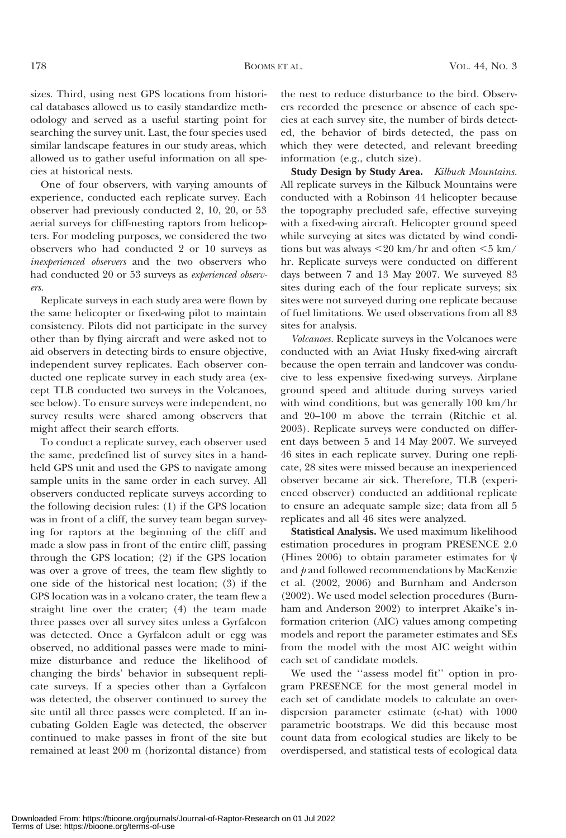sizes. Third, using nest GPS locations from historical databases allowed us to easily standardize methodology and served as a useful starting point for searching the survey unit. Last, the four species used similar landscape features in our study areas, which allowed us to gather useful information on all species at historical nests.

One of four observers, with varying amounts of experience, conducted each replicate survey. Each observer had previously conducted 2, 10, 20, or 53 aerial surveys for cliff-nesting raptors from helicopters. For modeling purposes, we considered the two observers who had conducted 2 or 10 surveys as inexperienced observers and the two observers who had conducted 20 or 53 surveys as experienced observers.

Replicate surveys in each study area were flown by the same helicopter or fixed-wing pilot to maintain consistency. Pilots did not participate in the survey other than by flying aircraft and were asked not to aid observers in detecting birds to ensure objective, independent survey replicates. Each observer conducted one replicate survey in each study area (except TLB conducted two surveys in the Volcanoes, see below). To ensure surveys were independent, no survey results were shared among observers that might affect their search efforts.

To conduct a replicate survey, each observer used the same, predefined list of survey sites in a handheld GPS unit and used the GPS to navigate among sample units in the same order in each survey. All observers conducted replicate surveys according to the following decision rules: (1) if the GPS location was in front of a cliff, the survey team began surveying for raptors at the beginning of the cliff and made a slow pass in front of the entire cliff, passing through the GPS location; (2) if the GPS location was over a grove of trees, the team flew slightly to one side of the historical nest location; (3) if the GPS location was in a volcano crater, the team flew a straight line over the crater; (4) the team made three passes over all survey sites unless a Gyrfalcon was detected. Once a Gyrfalcon adult or egg was observed, no additional passes were made to minimize disturbance and reduce the likelihood of changing the birds' behavior in subsequent replicate surveys. If a species other than a Gyrfalcon was detected, the observer continued to survey the site until all three passes were completed. If an incubating Golden Eagle was detected, the observer continued to make passes in front of the site but remained at least 200 m (horizontal distance) from

the nest to reduce disturbance to the bird. Observers recorded the presence or absence of each species at each survey site, the number of birds detected, the behavior of birds detected, the pass on which they were detected, and relevant breeding information (e.g., clutch size).

Study Design by Study Area. Kilbuck Mountains. All replicate surveys in the Kilbuck Mountains were conducted with a Robinson 44 helicopter because the topography precluded safe, effective surveying with a fixed-wing aircraft. Helicopter ground speed while surveying at sites was dictated by wind conditions but was always  $\leq$ 20 km/hr and often  $\leq$ 5 km/ hr. Replicate surveys were conducted on different days between 7 and 13 May 2007. We surveyed 83 sites during each of the four replicate surveys; six sites were not surveyed during one replicate because of fuel limitations. We used observations from all 83 sites for analysis.

Volcanoes. Replicate surveys in the Volcanoes were conducted with an Aviat Husky fixed-wing aircraft because the open terrain and landcover was conducive to less expensive fixed-wing surveys. Airplane ground speed and altitude during surveys varied with wind conditions, but was generally 100 km/hr and 20–100 m above the terrain (Ritchie et al. 2003). Replicate surveys were conducted on different days between 5 and 14 May 2007. We surveyed 46 sites in each replicate survey. During one replicate, 28 sites were missed because an inexperienced observer became air sick. Therefore, TLB (experienced observer) conducted an additional replicate to ensure an adequate sample size; data from all 5 replicates and all 46 sites were analyzed.

Statistical Analysis. We used maximum likelihood estimation procedures in program PRESENCE 2.0 (Hines 2006) to obtain parameter estimates for  $\psi$ and  $p$  and followed recommendations by MacKenzie et al. (2002, 2006) and Burnham and Anderson (2002). We used model selection procedures (Burnham and Anderson 2002) to interpret Akaike's information criterion (AIC) values among competing models and report the parameter estimates and SEs from the model with the most AIC weight within each set of candidate models.

We used the ''assess model fit'' option in program PRESENCE for the most general model in each set of candidate models to calculate an overdispersion parameter estimate (c-hat) with 1000 parametric bootstraps. We did this because most count data from ecological studies are likely to be overdispersed, and statistical tests of ecological data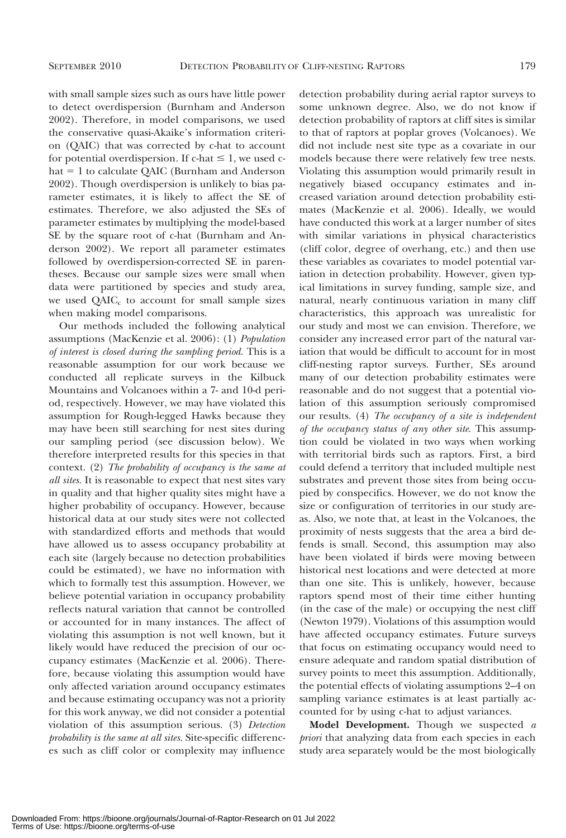with small sample sizes such as ours have little power to detect overdispersion (Burnham and Anderson 2002). Therefore, in model comparisons, we used the conservative quasi-Akaike's information criterion (QAIC) that was corrected by c-hat to account for potential overdispersion. If c-hat  $\leq 1$ , we used c $hat = 1$  to calculate QAIC (Burnham and Anderson 2002). Though overdispersion is unlikely to bias parameter estimates, it is likely to affect the SE of estimates. Therefore, we also adjusted the SEs of parameter estimates by multiplying the model-based SE by the square root of c-hat (Burnham and Anderson 2002). We report all parameter estimates followed by overdispersion-corrected SE in parentheses. Because our sample sizes were small when data were partitioned by species and study area, we used  $QAIC<sub>c</sub>$  to account for small sample sizes when making model comparisons.

Our methods included the following analytical assumptions (MacKenzie et al. 2006): (1) Population of interest is closed during the sampling period. This is a reasonable assumption for our work because we conducted all replicate surveys in the Kilbuck Mountains and Volcanoes within a 7- and 10-d period, respectively. However, we may have violated this assumption for Rough-legged Hawks because they may have been still searching for nest sites during our sampling period (see discussion below). We therefore interpreted results for this species in that context. (2) The probability of occupancy is the same at all sites. It is reasonable to expect that nest sites vary in quality and that higher quality sites might have a higher probability of occupancy. However, because historical data at our study sites were not collected with standardized efforts and methods that would have allowed us to assess occupancy probability at each site (largely because no detection probabilities could be estimated), we have no information with which to formally test this assumption. However, we believe potential variation in occupancy probability reflects natural variation that cannot be controlled or accounted for in many instances. The affect of violating this assumption is not well known, but it likely would have reduced the precision of our occupancy estimates (MacKenzie et al. 2006). Therefore, because violating this assumption would have only affected variation around occupancy estimates and because estimating occupancy was not a priority for this work anyway, we did not consider a potential violation of this assumption serious. (3) Detection probability is the same at all sites. Site-specific differences such as cliff color or complexity may influence

detection probability during aerial raptor surveys to some unknown degree. Also, we do not know if detection probability of raptors at cliff sites is similar to that of raptors at poplar groves (Volcanoes). We did not include nest site type as a covariate in our models because there were relatively few tree nests. Violating this assumption would primarily result in negatively biased occupancy estimates and increased variation around detection probability estimates (MacKenzie et al. 2006). Ideally, we would have conducted this work at a larger number of sites with similar variations in physical characteristics (cliff color, degree of overhang, etc.) and then use these variables as covariates to model potential variation in detection probability. However, given typical limitations in survey funding, sample size, and natural, nearly continuous variation in many cliff characteristics, this approach was unrealistic for our study and most we can envision. Therefore, we consider any increased error part of the natural variation that would be difficult to account for in most cliff-nesting raptor surveys. Further, SEs around many of our detection probability estimates were reasonable and do not suggest that a potential violation of this assumption seriously compromised our results. (4) The occupancy of a site is independent of the occupancy status of any other site. This assumption could be violated in two ways when working with territorial birds such as raptors. First, a bird could defend a territory that included multiple nest substrates and prevent those sites from being occupied by conspecifics. However, we do not know the size or configuration of territories in our study areas. Also, we note that, at least in the Volcanoes, the proximity of nests suggests that the area a bird defends is small. Second, this assumption may also have been violated if birds were moving between historical nest locations and were detected at more than one site. This is unlikely, however, because raptors spend most of their time either hunting (in the case of the male) or occupying the nest cliff (Newton 1979). Violations of this assumption would have affected occupancy estimates. Future surveys that focus on estimating occupancy would need to ensure adequate and random spatial distribution of survey points to meet this assumption. Additionally, the potential effects of violating assumptions 2–4 on sampling variance estimates is at least partially accounted for by using c-hat to adjust variances.

**Model Development.** Though we suspected  $a$ priori that analyzing data from each species in each study area separately would be the most biologically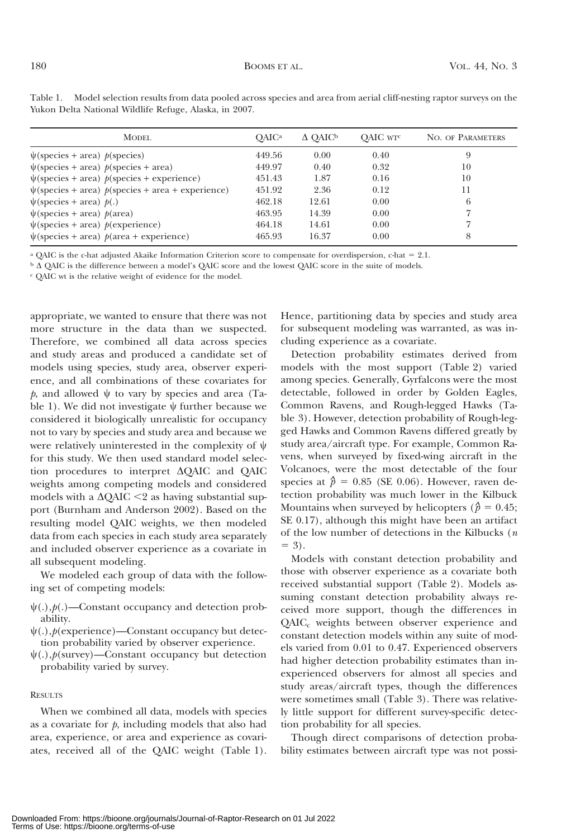| <b>MODEL</b>                                              | OAIC <sup>a</sup> | $\Delta$ OAIC <sup>b</sup> | OAIC WTC | <b>NO. OF PARAMETERS</b> |
|-----------------------------------------------------------|-------------------|----------------------------|----------|--------------------------|
| $\psi$ (species + area) $p$ (species)                     | 449.56            | 0.00                       | 0.40     |                          |
| $\psi$ (species + area) $p$ (species + area)              | 449.97            | 0.40                       | 0.32     | 10                       |
| $\psi$ (species + area) $p$ (species + experience)        | 451.43            | 1.87                       | 0.16     | 10                       |
| $\psi$ (species + area) $p$ (species + area + experience) | 451.92            | 2.36                       | 0.12     |                          |
| $\psi$ (species + area) $p(.)$                            | 462.18            | 12.61                      | 0.00     | 6                        |
| $\psi$ (species + area) $p$ (area)                        | 463.95            | 14.39                      | 0.00     |                          |
| $\psi$ (species + area) $p$ (experience)                  | 464.18            | 14.61                      | 0.00     |                          |
| $\psi$ (species + area) $p$ (area + experience)           | 465.93            | 16.37                      | 0.00     | 8                        |

Table 1. Model selection results from data pooled across species and area from aerial cliff-nesting raptor surveys on the Yukon Delta National Wildlife Refuge, Alaska, in 2007.

<sup>a</sup> QAIC is the c-hat adjusted Akaike Information Criterion score to compensate for overdispersion, c-hat = 2.1.

 $^{\rm b}$   $\Delta$  QAIC is the difference between a model's QAIC score and the lowest QAIC score in the suite of models.

c QAIC wt is the relative weight of evidence for the model.

appropriate, we wanted to ensure that there was not more structure in the data than we suspected. Therefore, we combined all data across species and study areas and produced a candidate set of models using species, study area, observer experience, and all combinations of these covariates for  $p$ , and allowed  $\psi$  to vary by species and area (Table 1). We did not investigate  $\psi$  further because we considered it biologically unrealistic for occupancy not to vary by species and study area and because we were relatively uninterested in the complexity of  $\psi$ for this study. We then used standard model selection procedures to interpret  $\Delta QAIC$  and  $QAIC$ weights among competing models and considered models with a  $\Delta QAIC \leq 2$  as having substantial support (Burnham and Anderson 2002). Based on the resulting model QAIC weights, we then modeled data from each species in each study area separately and included observer experience as a covariate in all subsequent modeling.

We modeled each group of data with the following set of competing models:

 $\psi(.)$ ,  $\psi(.)$ —Constant occupancy and detection probability.

 $\psi(.)$ ,  $p$ (experience)—Constant occupancy but detection probability varied by observer experience.

 $\psi(.)$ ,  $p$ (survey)—Constant occupancy but detection probability varied by survey.

#### **RESULTS**

When we combined all data, models with species as a covariate for  $p$ , including models that also had area, experience, or area and experience as covariates, received all of the QAIC weight (Table 1). Hence, partitioning data by species and study area for subsequent modeling was warranted, as was including experience as a covariate.

Detection probability estimates derived from models with the most support (Table 2) varied among species. Generally, Gyrfalcons were the most detectable, followed in order by Golden Eagles, Common Ravens, and Rough-legged Hawks (Table 3). However, detection probability of Rough-legged Hawks and Common Ravens differed greatly by study area/aircraft type. For example, Common Ravens, when surveyed by fixed-wing aircraft in the Volcanoes, were the most detectable of the four species at  $\hat{p} = 0.85$  (SE 0.06). However, raven detection probability was much lower in the Kilbuck Mountains when surveyed by helicopters ( $\hat{p} = 0.45$ ; SE 0.17), although this might have been an artifact of the low number of detections in the Kilbucks  $(n)$  $= 3$ .

Models with constant detection probability and those with observer experience as a covariate both received substantial support (Table 2). Models assuming constant detection probability always received more support, though the differences in QAIC<sub>c</sub> weights between observer experience and constant detection models within any suite of models varied from 0.01 to 0.47. Experienced observers had higher detection probability estimates than inexperienced observers for almost all species and study areas/aircraft types, though the differences were sometimes small (Table 3). There was relatively little support for different survey-specific detection probability for all species.

Though direct comparisons of detection probability estimates between aircraft type was not possi-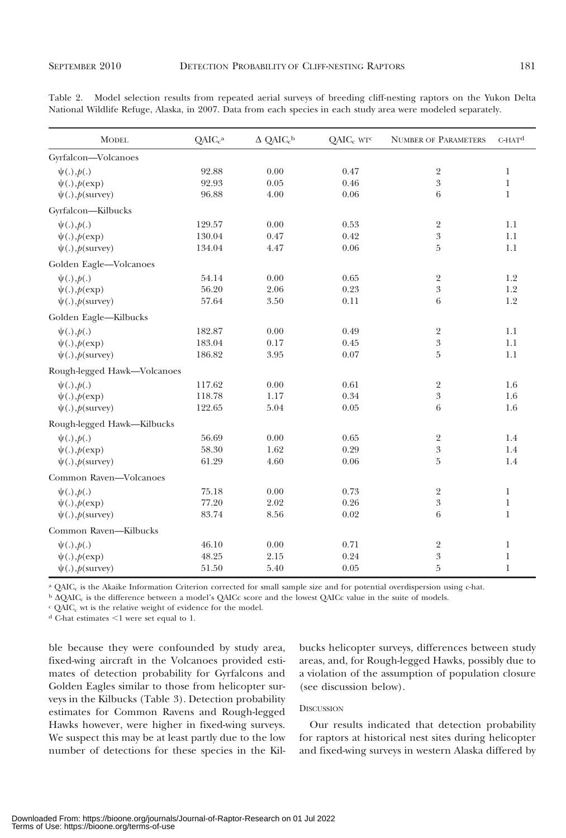| <b>MODEL</b>                | $OAICc$ <sup>a</sup> | $\Delta$ QAIC <sub>c</sub> <sup>b</sup> | $QAIC_c$ WT <sup>c</sup> | <b>NUMBER OF PARAMETERS</b> | $C$ -HAT <sup>d</sup> |
|-----------------------------|----------------------|-----------------------------------------|--------------------------|-----------------------------|-----------------------|
| Gyrfalcon-Volcanoes         |                      |                                         |                          |                             |                       |
| $\psi(.)$ , $p(.)$          | 92.88                | 0.00                                    | 0.47                     | $\overline{2}$              | 1                     |
| $\psi(.)$ , $p$ (exp)       | 92.93                | 0.05                                    | 0.46                     | $\mathfrak{B}$              | 1                     |
| $\psi(.)$ , $p$ (survey)    | 96.88                | 4.00                                    | 0.06                     | 6                           | 1                     |
| Gyrfalcon-Kilbucks          |                      |                                         |                          |                             |                       |
| $\psi(.)$ , $p(.)$          | 129.57               | 0.00                                    | 0.53                     | $\overline{2}$              | 1.1                   |
| $\psi(.)$ , $p$ (exp)       | 130.04               | 0.47                                    | 0.42                     | 3                           | 1.1                   |
| $\psi(.)$ , $p$ (survey)    | 134.04               | 4.47                                    | 0.06                     | 5                           | 1.1                   |
| Golden Eagle-Volcanoes      |                      |                                         |                          |                             |                       |
| $\psi(.)$ , $p(.)$          | 54.14                | 0.00                                    | 0.65                     | $\overline{2}$              | 1.2                   |
| $\psi(.)$ , $p$ (exp)       | 56.20                | 2.06                                    | 0.23                     | $\boldsymbol{3}$            | 1.2                   |
| $\psi(.)$ , $p$ (survey)    | 57.64                | 3.50                                    | 0.11                     | 6                           | 1.2                   |
| Golden Eagle-Kilbucks       |                      |                                         |                          |                             |                       |
| $\psi(.)$ , $p(.)$          | 182.87               | 0.00                                    | 0.49                     | $\overline{2}$              | 1.1                   |
| $\psi(.)$ , $p$ (exp)       | 183.04               | 0.17                                    | 0.45                     | 3                           | 1.1                   |
| $\psi(.)$ , $p$ (survey)    | 186.82               | 3.95                                    | 0.07                     | $\overline{5}$              | 1.1                   |
| Rough-legged Hawk-Volcanoes |                      |                                         |                          |                             |                       |
| $\psi(.)$ , $p(.)$          | 117.62               | 0.00                                    | 0.61                     | $\overline{2}$              | 1.6                   |
| $\psi(.)$ , $p$ (exp)       | 118.78               | 1.17                                    | 0.34                     | $\boldsymbol{3}$            | 1.6                   |
| $\psi(.)$ , $p$ (survey)    | 122.65               | 5.04                                    | 0.05                     | 6                           | 1.6                   |
| Rough-legged Hawk-Kilbucks  |                      |                                         |                          |                             |                       |
| $\psi(.)$ , $p(.)$          | 56.69                | 0.00                                    | 0.65                     | $\overline{2}$              | 1.4                   |
| $\psi(.)$ , $p$ (exp)       | 58.30                | 1.62                                    | 0.29                     | $\boldsymbol{3}$            | 1.4                   |
| $\psi(.)$ , $p$ (survey)    | 61.29                | 4.60                                    | 0.06                     | $\overline{5}$              | 1.4                   |
| Common Raven-Volcanoes      |                      |                                         |                          |                             |                       |
| $\psi(.)$ , $p(.)$          | 75.18                | 0.00                                    | 0.73                     | $\overline{2}$              | 1                     |
| $\psi(.)$ , $p$ (exp)       | 77.20                | 2.02                                    | 0.26                     | $\mathfrak{B}$              | 1                     |
| $\psi(.)$ , $p$ (survey)    | 83.74                | 8.56                                    | 0.02                     | 6                           | 1                     |
| Common Raven-Kilbucks       |                      |                                         |                          |                             |                       |
| $\psi(.)$ , $p(.)$          | 46.10                | 0.00                                    | 0.71                     | $\overline{2}$              | 1                     |
| $\psi(.)$ , $p$ (exp)       | 48.25                | 2.15                                    | 0.24                     | $\boldsymbol{3}$            | 1                     |
| $\psi(.)$ , $p$ (survey)    | 51.50                | 5.40                                    | 0.05                     | $\overline{5}$              | 1                     |

Table 2. Model selection results from repeated aerial surveys of breeding cliff-nesting raptors on the Yukon Delta National Wildlife Refuge, Alaska, in 2007. Data from each species in each study area were modeled separately.

<sup>a</sup> OAIC<sub>c</sub> is the Akaike Information Criterion corrected for small sample size and for potential overdispersion using c-hat.

 $b$   $\Delta QALC_c$  is the difference between a model's  $QALCc$  score and the lowest  $QALCc$  value in the suite of models.

 $c$  QAIC<sub>c</sub> wt is the relative weight of evidence for the model.

 $d$  C-hat estimates  $\leq$ 1 were set equal to 1.

ble because they were confounded by study area, fixed-wing aircraft in the Volcanoes provided estimates of detection probability for Gyrfalcons and Golden Eagles similar to those from helicopter surveys in the Kilbucks (Table 3). Detection probability estimates for Common Ravens and Rough-legged Hawks however, were higher in fixed-wing surveys. We suspect this may be at least partly due to the low number of detections for these species in the Kilbucks helicopter surveys, differences between study areas, and, for Rough-legged Hawks, possibly due to a violation of the assumption of population closure (see discussion below).

#### **DISCUSSION**

Our results indicated that detection probability for raptors at historical nest sites during helicopter and fixed-wing surveys in western Alaska differed by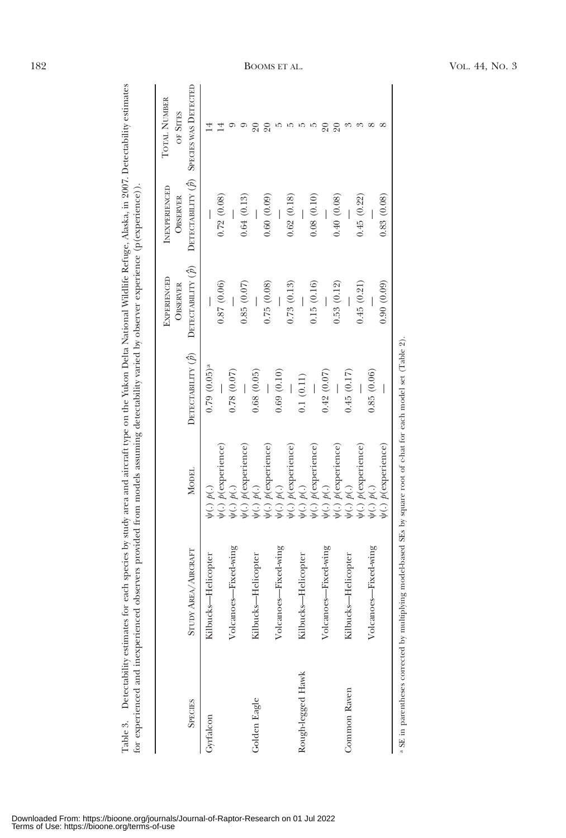| <b>SPECIES</b>    | STUDY AREA/AIRCRAFT      | <b>MODEL</b>                                   | DETECTABILITY $(\hat{p})$ | DETECTABILITY $(\hat{p})$<br><b>EXPERIENCED</b><br>OBSERVER | DETECTABILITY $(\hat{p})$<br>INEXPERIENCED<br>OBSERVER | SPECIES WAS DETECTED<br><b>TOTAL NUMBER</b><br>OF SITES |
|-------------------|--------------------------|------------------------------------------------|---------------------------|-------------------------------------------------------------|--------------------------------------------------------|---------------------------------------------------------|
| Gyrfalcon         | Kilbucks-Helicopter      | $\psi(.)\not\! p(.)$                           | $0.79(0.05)$ <sup>a</sup> |                                                             |                                                        | ᅺ                                                       |
|                   |                          | $\psi(.)$ $p$ (experience)                     |                           | 0.87(0.06)                                                  | 0.72(0.08)                                             | ᅺ                                                       |
|                   | s-Fixed-wing<br>Volcanoe | $\psi(.) \not{p(.)}$                           | 0.78(0.07)                |                                                             |                                                        | ာ                                                       |
|                   |                          | $\psi(.)$ $p$ (experience)                     |                           | 0.85(0.07)                                                  | 0.64(0.13)                                             |                                                         |
| Golden Eagle      | Kilbucks-Helicopter      | $\psi(.)\not{p}(.)$                            | 0.68(0.05)                |                                                             |                                                        |                                                         |
|                   |                          | $\psi(.)$ $p$ (experience)                     | l                         | 0.75(0.08)                                                  | 0.60(0.09)                                             |                                                         |
|                   | s-Fixed-wing<br>Volcanoe | $\psi(.)\;p(.)$                                | 0.69(0.10)                |                                                             |                                                        | Ğ                                                       |
|                   |                          |                                                |                           | 0.73(0.13)                                                  | 0.62(0.18)                                             | Ğ                                                       |
| Rough-legged Hawk | Kilbucks-Helicopter      | $\psi(.)$ $p$ (experience)<br>$\psi(.)$ $p(.)$ | 0.1(0.11)                 |                                                             |                                                        | תנ                                                      |
|                   |                          | $\psi(.)$ $p$ (experience)<br>$\psi(.)$ $p(.)$ |                           | 0.15(0.16)                                                  | 0.08(0.10)                                             |                                                         |
|                   | s-Fixed-wing<br>Volcanoe |                                                | 0.42(0.07)                |                                                             |                                                        |                                                         |
|                   |                          | $\psi(.)$ $p$ (experience)                     |                           | 0.53(0.12)                                                  | 0.40(0.08)                                             | $\overline{20}$                                         |
| Common Raven      | Kilbucks-Helicopter      | $\psi(.) \not{p(.)}$                           | 0.45(0.17)                |                                                             |                                                        | ಣ                                                       |
|                   |                          | $\psi(.)$ $p$ (experience)                     |                           | 0.45(0.21)                                                  | 0.45(0.22)                                             |                                                         |
|                   | Volcanoes-Fixed-wing     | $\psi(.) \not{p(.)}$                           | 0.85(0.06)                |                                                             |                                                        | ∝                                                       |
|                   |                          | $\psi(.) \not\!\! p(\text{experience})$        |                           | 0.90(0.09)                                                  | 0.83(0.08)                                             |                                                         |

Detectability estimates for each species by study area and aircraft type on the Yukon Delta National Wildlife Refuge, Alaska, in 2007. Detectability estimates Table 3. Detectability estimates for each species by study area and aircraft type on the Yukon Delta National Wildlife Refuge, Alaska, in 2007. Detectability estimates detectability varied by observer experience (n(experience)). for experienced and inexperienced observers provided from models assuming detectability varied by observer experience (p(experience)).  $\tilde{\mathbf{r}}$  $\sim$ dale -1 rded fro and obse المستقط ad and in Table 3.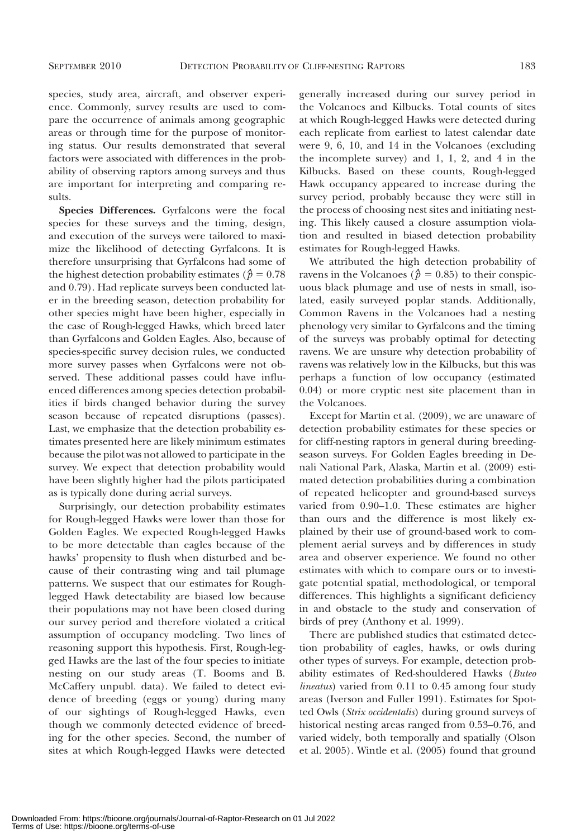species, study area, aircraft, and observer experience. Commonly, survey results are used to compare the occurrence of animals among geographic areas or through time for the purpose of monitoring status. Our results demonstrated that several factors were associated with differences in the probability of observing raptors among surveys and thus are important for interpreting and comparing results.

Species Differences. Gyrfalcons were the focal species for these surveys and the timing, design, and execution of the surveys were tailored to maximize the likelihood of detecting Gyrfalcons. It is therefore unsurprising that Gyrfalcons had some of the highest detection probability estimates ( $\hat{p} = 0.78$ and 0.79). Had replicate surveys been conducted later in the breeding season, detection probability for other species might have been higher, especially in the case of Rough-legged Hawks, which breed later than Gyrfalcons and Golden Eagles. Also, because of species-specific survey decision rules, we conducted more survey passes when Gyrfalcons were not observed. These additional passes could have influenced differences among species detection probabilities if birds changed behavior during the survey season because of repeated disruptions (passes). Last, we emphasize that the detection probability estimates presented here are likely minimum estimates because the pilot was not allowed to participate in the survey. We expect that detection probability would have been slightly higher had the pilots participated as is typically done during aerial surveys.

Surprisingly, our detection probability estimates for Rough-legged Hawks were lower than those for Golden Eagles. We expected Rough-legged Hawks to be more detectable than eagles because of the hawks' propensity to flush when disturbed and because of their contrasting wing and tail plumage patterns. We suspect that our estimates for Roughlegged Hawk detectability are biased low because their populations may not have been closed during our survey period and therefore violated a critical assumption of occupancy modeling. Two lines of reasoning support this hypothesis. First, Rough-legged Hawks are the last of the four species to initiate nesting on our study areas (T. Booms and B. McCaffery unpubl. data). We failed to detect evidence of breeding (eggs or young) during many of our sightings of Rough-legged Hawks, even though we commonly detected evidence of breeding for the other species. Second, the number of sites at which Rough-legged Hawks were detected generally increased during our survey period in the Volcanoes and Kilbucks. Total counts of sites at which Rough-legged Hawks were detected during each replicate from earliest to latest calendar date were 9, 6, 10, and 14 in the Volcanoes (excluding the incomplete survey) and 1, 1, 2, and 4 in the Kilbucks. Based on these counts, Rough-legged Hawk occupancy appeared to increase during the survey period, probably because they were still in the process of choosing nest sites and initiating nesting. This likely caused a closure assumption violation and resulted in biased detection probability estimates for Rough-legged Hawks.

We attributed the high detection probability of ravens in the Volcanoes ( $\hat{p}$  = 0.85) to their conspicuous black plumage and use of nests in small, isolated, easily surveyed poplar stands. Additionally, Common Ravens in the Volcanoes had a nesting phenology very similar to Gyrfalcons and the timing of the surveys was probably optimal for detecting ravens. We are unsure why detection probability of ravens was relatively low in the Kilbucks, but this was perhaps a function of low occupancy (estimated 0.04) or more cryptic nest site placement than in the Volcanoes.

Except for Martin et al. (2009), we are unaware of detection probability estimates for these species or for cliff-nesting raptors in general during breedingseason surveys. For Golden Eagles breeding in Denali National Park, Alaska, Martin et al. (2009) estimated detection probabilities during a combination of repeated helicopter and ground-based surveys varied from 0.90–1.0. These estimates are higher than ours and the difference is most likely explained by their use of ground-based work to complement aerial surveys and by differences in study area and observer experience. We found no other estimates with which to compare ours or to investigate potential spatial, methodological, or temporal differences. This highlights a significant deficiency in and obstacle to the study and conservation of birds of prey (Anthony et al. 1999).

There are published studies that estimated detection probability of eagles, hawks, or owls during other types of surveys. For example, detection probability estimates of Red-shouldered Hawks (Buteo lineatus) varied from 0.11 to 0.45 among four study areas (Iverson and Fuller 1991). Estimates for Spotted Owls (Strix occidentalis) during ground surveys of historical nesting areas ranged from 0.53–0.76, and varied widely, both temporally and spatially (Olson et al. 2005). Wintle et al. (2005) found that ground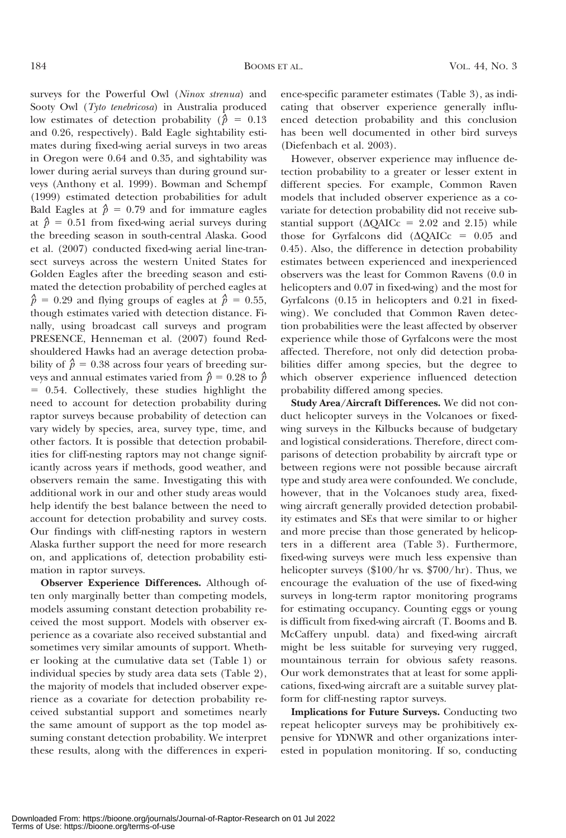surveys for the Powerful Owl (Ninox strenua) and Sooty Owl (Tyto tenebricosa) in Australia produced low estimates of detection probability ( $\hat{p} = 0.13$ and 0.26, respectively). Bald Eagle sightability estimates during fixed-wing aerial surveys in two areas in Oregon were 0.64 and 0.35, and sightability was lower during aerial surveys than during ground surveys (Anthony et al. 1999). Bowman and Schempf (1999) estimated detection probabilities for adult Bald Eagles at  $\hat{p} = 0.79$  and for immature eagles at  $\hat{p}$  = 0.51 from fixed-wing aerial surveys during the breeding season in south-central Alaska. Good et al. (2007) conducted fixed-wing aerial line-transect surveys across the western United States for Golden Eagles after the breeding season and estimated the detection probability of perched eagles at  $\hat{p}$  = 0.29 and flying groups of eagles at  $\hat{p}$  = 0.55, though estimates varied with detection distance. Finally, using broadcast call surveys and program PRESENCE, Henneman et al. (2007) found Redshouldered Hawks had an average detection probability of  $\hat{p} = 0.38$  across four years of breeding surveys and annual estimates varied from  $\hat{p}$  = 0.28 to  $\hat{p}$  $= 0.54$ . Collectively, these studies highlight the need to account for detection probability during raptor surveys because probability of detection can vary widely by species, area, survey type, time, and other factors. It is possible that detection probabilities for cliff-nesting raptors may not change significantly across years if methods, good weather, and observers remain the same. Investigating this with additional work in our and other study areas would help identify the best balance between the need to account for detection probability and survey costs. Our findings with cliff-nesting raptors in western Alaska further support the need for more research on, and applications of, detection probability estimation in raptor surveys.

Observer Experience Differences. Although often only marginally better than competing models, models assuming constant detection probability received the most support. Models with observer experience as a covariate also received substantial and sometimes very similar amounts of support. Whether looking at the cumulative data set (Table 1) or individual species by study area data sets (Table 2), the majority of models that included observer experience as a covariate for detection probability received substantial support and sometimes nearly the same amount of support as the top model assuming constant detection probability. We interpret these results, along with the differences in experience-specific parameter estimates (Table 3), as indicating that observer experience generally influenced detection probability and this conclusion has been well documented in other bird surveys (Diefenbach et al. 2003).

However, observer experience may influence detection probability to a greater or lesser extent in different species. For example, Common Raven models that included observer experience as a covariate for detection probability did not receive substantial support ( $\Delta QAICc = 2.02$  and 2.15) while those for Gyrfalcons did  $(\Delta QAICc = 0.05$  and 0.45). Also, the difference in detection probability estimates between experienced and inexperienced observers was the least for Common Ravens (0.0 in helicopters and 0.07 in fixed-wing) and the most for Gyrfalcons (0.15 in helicopters and 0.21 in fixedwing). We concluded that Common Raven detection probabilities were the least affected by observer experience while those of Gyrfalcons were the most affected. Therefore, not only did detection probabilities differ among species, but the degree to which observer experience influenced detection probability differed among species.

Study Area/Aircraft Differences. We did not conduct helicopter surveys in the Volcanoes or fixedwing surveys in the Kilbucks because of budgetary and logistical considerations. Therefore, direct comparisons of detection probability by aircraft type or between regions were not possible because aircraft type and study area were confounded. We conclude, however, that in the Volcanoes study area, fixedwing aircraft generally provided detection probability estimates and SEs that were similar to or higher and more precise than those generated by helicopters in a different area (Table 3). Furthermore, fixed-wing surveys were much less expensive than helicopter surveys (\$100/hr vs. \$700/hr). Thus, we encourage the evaluation of the use of fixed-wing surveys in long-term raptor monitoring programs for estimating occupancy. Counting eggs or young is difficult from fixed-wing aircraft (T. Booms and B. McCaffery unpubl. data) and fixed-wing aircraft might be less suitable for surveying very rugged, mountainous terrain for obvious safety reasons. Our work demonstrates that at least for some applications, fixed-wing aircraft are a suitable survey platform for cliff-nesting raptor surveys.

Implications for Future Surveys. Conducting two repeat helicopter surveys may be prohibitively expensive for YDNWR and other organizations interested in population monitoring. If so, conducting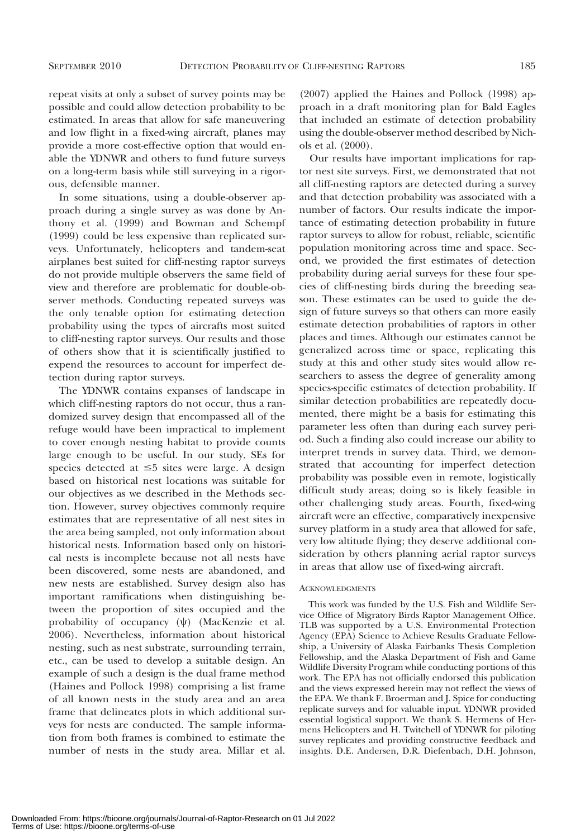repeat visits at only a subset of survey points may be possible and could allow detection probability to be estimated. In areas that allow for safe maneuvering and low flight in a fixed-wing aircraft, planes may provide a more cost-effective option that would enable the YDNWR and others to fund future surveys on a long-term basis while still surveying in a rigorous, defensible manner.

In some situations, using a double-observer approach during a single survey as was done by Anthony et al. (1999) and Bowman and Schempf (1999) could be less expensive than replicated surveys. Unfortunately, helicopters and tandem-seat airplanes best suited for cliff-nesting raptor surveys do not provide multiple observers the same field of view and therefore are problematic for double-observer methods. Conducting repeated surveys was the only tenable option for estimating detection probability using the types of aircrafts most suited to cliff-nesting raptor surveys. Our results and those of others show that it is scientifically justified to expend the resources to account for imperfect detection during raptor surveys.

The YDNWR contains expanses of landscape in which cliff-nesting raptors do not occur, thus a randomized survey design that encompassed all of the refuge would have been impractical to implement to cover enough nesting habitat to provide counts large enough to be useful. In our study, SEs for species detected at  $\leq 5$  sites were large. A design based on historical nest locations was suitable for our objectives as we described in the Methods section. However, survey objectives commonly require estimates that are representative of all nest sites in the area being sampled, not only information about historical nests. Information based only on historical nests is incomplete because not all nests have been discovered, some nests are abandoned, and new nests are established. Survey design also has important ramifications when distinguishing between the proportion of sites occupied and the probability of occupancy  $(\psi)$  (MacKenzie et al. 2006). Nevertheless, information about historical nesting, such as nest substrate, surrounding terrain, etc., can be used to develop a suitable design. An example of such a design is the dual frame method (Haines and Pollock 1998) comprising a list frame of all known nests in the study area and an area frame that delineates plots in which additional surveys for nests are conducted. The sample information from both frames is combined to estimate the number of nests in the study area. Millar et al.

(2007) applied the Haines and Pollock (1998) approach in a draft monitoring plan for Bald Eagles that included an estimate of detection probability using the double-observer method described by Nichols et al. (2000).

Our results have important implications for raptor nest site surveys. First, we demonstrated that not all cliff-nesting raptors are detected during a survey and that detection probability was associated with a number of factors. Our results indicate the importance of estimating detection probability in future raptor surveys to allow for robust, reliable, scientific population monitoring across time and space. Second, we provided the first estimates of detection probability during aerial surveys for these four species of cliff-nesting birds during the breeding season. These estimates can be used to guide the design of future surveys so that others can more easily estimate detection probabilities of raptors in other places and times. Although our estimates cannot be generalized across time or space, replicating this study at this and other study sites would allow researchers to assess the degree of generality among species-specific estimates of detection probability. If similar detection probabilities are repeatedly documented, there might be a basis for estimating this parameter less often than during each survey period. Such a finding also could increase our ability to interpret trends in survey data. Third, we demonstrated that accounting for imperfect detection probability was possible even in remote, logistically difficult study areas; doing so is likely feasible in other challenging study areas. Fourth, fixed-wing aircraft were an effective, comparatively inexpensive survey platform in a study area that allowed for safe, very low altitude flying; they deserve additional consideration by others planning aerial raptor surveys in areas that allow use of fixed-wing aircraft.

#### ACKNOWLEDGMENTS

This work was funded by the U.S. Fish and Wildlife Service Office of Migratory Birds Raptor Management Office. TLB was supported by a U.S. Environmental Protection Agency (EPA) Science to Achieve Results Graduate Fellowship, a University of Alaska Fairbanks Thesis Completion Fellowship, and the Alaska Department of Fish and Game Wildlife Diversity Program while conducting portions of this work. The EPA has not officially endorsed this publication and the views expressed herein may not reflect the views of the EPA. We thank F. Broerman and J. Spice for conducting replicate surveys and for valuable input. YDNWR provided essential logistical support. We thank S. Hermens of Hermens Helicopters and H. Twitchell of YDNWR for piloting survey replicates and providing constructive feedback and insights. D.E. Andersen, D.R. Diefenbach, D.H. Johnson,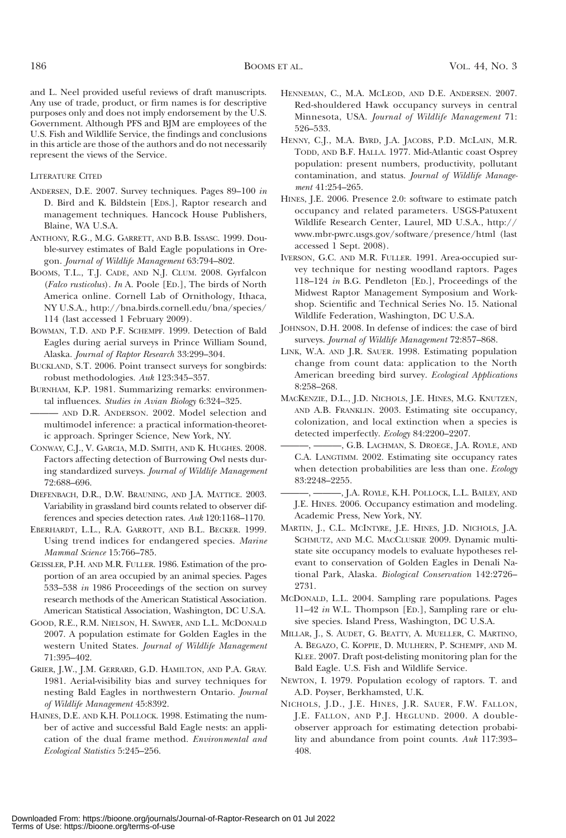and L. Neel provided useful reviews of draft manuscripts. Any use of trade, product, or firm names is for descriptive purposes only and does not imply endorsement by the U.S. Government. Although PFS and BJM are employees of the U.S. Fish and Wildlife Service, the findings and conclusions in this article are those of the authors and do not necessarily represent the views of the Service.

### LITERATURE CITED

- ANDERSEN, D.E. 2007. Survey techniques. Pages 89–100 in D. Bird and K. Bildstein [EDS.], Raptor research and management techniques. Hancock House Publishers, Blaine, WA U.S.A.
- ANTHONY, R.G., M.G. GARRETT, AND B.B. ISSASC. 1999. Double-survey estimates of Bald Eagle populations in Oregon. Journal of Wildlife Management 63:794–802.
- BOOMS, T.L., T.J. CADE, AND N.J. CLUM. 2008. Gyrfalcon (Falco rusticolus). In A. Poole [ED.], The birds of North America online. Cornell Lab of Ornithology, Ithaca, NY U.S.A., http://bna.birds.cornell.edu/bna/species/ 114 (last accessed 1 February 2009).
- BOWMAN, T.D. AND P.F. SCHEMPF. 1999. Detection of Bald Eagles during aerial surveys in Prince William Sound, Alaska. Journal of Raptor Research 33:299–304.
- BUCKLAND, S.T. 2006. Point transect surveys for songbirds: robust methodologies. Auk 123:345–357.
- BURNHAM, K.P. 1981. Summarizing remarks: environmental influences. Studies in Avian Biology 6:324–325.

——— AND D.R. ANDERSON. 2002. Model selection and multimodel inference: a practical information-theoretic approach. Springer Science, New York, NY.

- CONWAY, C.J., V. GARCIA, M.D. SMITH, AND K. HUGHES. 2008. Factors affecting detection of Burrowing Owl nests during standardized surveys. Journal of Wildlife Management 72:688–696.
- DIEFENBACH, D.R., D.W. BRAUNING, AND J.A. MATTICE. 2003. Variability in grassland bird counts related to observer differences and species detection rates. Auk 120:1168–1170.
- EBERHARDT, L.L., R.A. GARROTT, AND B.L. BECKER. 1999. Using trend indices for endangered species. Marine Mammal Science 15:766–785.
- GEISSLER, P.H. AND M.R. FULLER. 1986. Estimation of the proportion of an area occupied by an animal species. Pages 533–538 in 1986 Proceedings of the section on survey research methods of the American Statistical Association. American Statistical Association, Washington, DC U.S.A.
- GOOD, R.E., R.M. NIELSON, H. SAWYER, AND L.L. MCDONALD 2007. A population estimate for Golden Eagles in the western United States. Journal of Wildlife Management 71:395–402.
- GRIER, J.W., J.M. GERRARD, G.D. HAMILTON, AND P.A. GRAY. 1981. Aerial-visibility bias and survey techniques for nesting Bald Eagles in northwestern Ontario. Journal of Wildlife Management 45:8392.
- HAINES, D.E. AND K.H. POLLOCK. 1998. Estimating the number of active and successful Bald Eagle nests: an application of the dual frame method. Environmental and Ecological Statistics 5:245–256.
- HENNEMAN, C., M.A. MCLEOD, AND D.E. ANDERSEN. 2007. Red-shouldered Hawk occupancy surveys in central Minnesota, USA. Journal of Wildlife Management 71: 526–533.
- HENNY, C.J., M.A. BYRD, J.A. JACOBS, P.D. MCLAIN, M.R. TODD, AND B.F. HALLA. 1977. Mid-Atlantic coast Osprey population: present numbers, productivity, pollutant contamination, and status. Journal of Wildlife Management 41:254–265.
- HINES, J.E. 2006. Presence 2.0: software to estimate patch occupancy and related parameters. USGS-Patuxent Wildlife Research Center, Laurel, MD U.S.A., http:// www.mbr-pwrc.usgs.gov/software/presence/html (last accessed 1 Sept. 2008).
- IVERSON, G.C. AND M.R. FULLER. 1991. Area-occupied survey technique for nesting woodland raptors. Pages 118–124 in B.G. Pendleton [ED.], Proceedings of the Midwest Raptor Management Symposium and Workshop. Scientific and Technical Series No. 15. National Wildlife Federation, Washington, DC U.S.A.
- JOHNSON, D.H. 2008. In defense of indices: the case of bird surveys. Journal of Wildlife Management 72:857–868.
- LINK, W.A. AND J.R. SAUER. 1998. Estimating population change from count data: application to the North American breeding bird survey. Ecological Applications 8:258–268.
- MACKENZIE, D.L., J.D. NICHOLS, J.E. HINES, M.G. KNUTZEN, AND A.B. FRANKLIN. 2003. Estimating site occupancy, colonization, and local extinction when a species is detected imperfectly. Ecology 84:2200–2207.
- ———, ———, G.B. LACHMAN, S. DROEGE, J.A. ROYLE, AND C.A. LANGTIMM. 2002. Estimating site occupancy rates when detection probabilities are less than one. Ecology 83:2248–2255.
- ———, ———, J.A. ROYLE, K.H. POLLOCK, L.L. BAILEY, AND J.E. HINES. 2006. Occupancy estimation and modeling. Academic Press, New York, NY.
- MARTIN, J., C.L. MCINTYRE, J.E. HINES, J.D. NICHOLS, J.A. SCHMUTZ, AND M.C. MACCLUSKIE 2009. Dynamic multistate site occupancy models to evaluate hypotheses relevant to conservation of Golden Eagles in Denali National Park, Alaska. Biological Conservation 142:2726– 2731.
- MCDONALD, L.L. 2004. Sampling rare populations. Pages 11–42 in W.L. Thompson [ED.], Sampling rare or elusive species. Island Press, Washington, DC U.S.A.
- MILLAR, J., S. AUDET, G. BEATTY, A. MUELLER, C. MARTINO, A. BEGAZO, C. KOPPIE, D. MULHERN, P. SCHEMPF, AND M. KLEE. 2007. Draft post-delisting monitoring plan for the Bald Eagle. U.S. Fish and Wildlife Service.
- NEWTON, I. 1979. Population ecology of raptors. T. and A.D. Poyser, Berkhamsted, U.K.
- NICHOLS, J.D., J.E. HINES, J.R. SAUER, F.W. FALLON, J.E. FALLON, AND P.J. HEGLUND. 2000. A doubleobserver approach for estimating detection probability and abundance from point counts. Auk 117:393– 408.